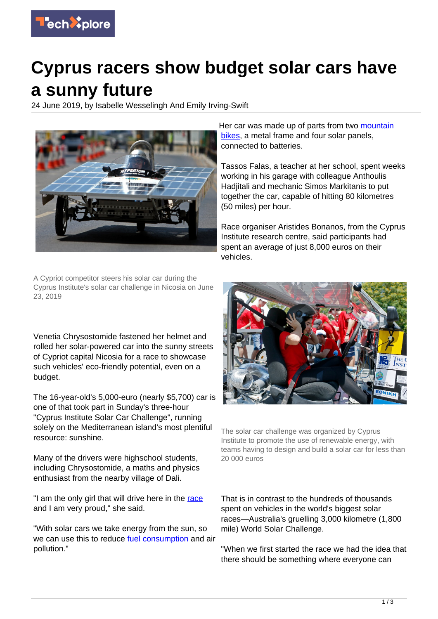

## **Cyprus racers show budget solar cars have a sunny future**

24 June 2019, by Isabelle Wesselingh And Emily Irving-Swift



A Cypriot competitor steers his solar car during the Cyprus Institute's solar car challenge in Nicosia on June 23, 2019

Venetia Chrysostomide fastened her helmet and rolled her solar-powered car into the sunny streets of Cypriot capital Nicosia for a race to showcase such vehicles' eco-friendly potential, even on a budget.

The 16-year-old's 5,000-euro (nearly \$5,700) car is one of that took part in Sunday's three-hour "Cyprus Institute Solar Car Challenge", running solely on the Mediterranean island's most plentiful resource: sunshine.

Many of the drivers were highschool students, including Chrysostomide, a maths and physics enthusiast from the nearby village of Dali.

"I am the only girl that will drive here in the [race](https://techxplore.com/tags/race/) and I am very proud," she said.

"With solar cars we take energy from the sun, so we can use this to reduce [fuel consumption](https://techxplore.com/tags/fuel+consumption/) and air pollution."

Her car was made up of parts from two [mountain](https://techxplore.com/tags/mountain+bikes/) [bikes](https://techxplore.com/tags/mountain+bikes/), a metal frame and four solar panels. connected to batteries.

Tassos Falas, a teacher at her school, spent weeks working in his garage with colleague Anthoulis Hadjitali and mechanic Simos Markitanis to put together the car, capable of hitting 80 kilometres (50 miles) per hour.

Race organiser Aristides Bonanos, from the Cyprus Institute research centre, said participants had spent an average of just 8,000 euros on their vehicles.



The solar car challenge was organized by Cyprus Institute to promote the use of renewable energy, with teams having to design and build a solar car for less than 20 000 euros

That is in contrast to the hundreds of thousands spent on vehicles in the world's biggest solar races—Australia's gruelling 3,000 kilometre (1,800 mile) World Solar Challenge.

"When we first started the race we had the idea that there should be something where everyone can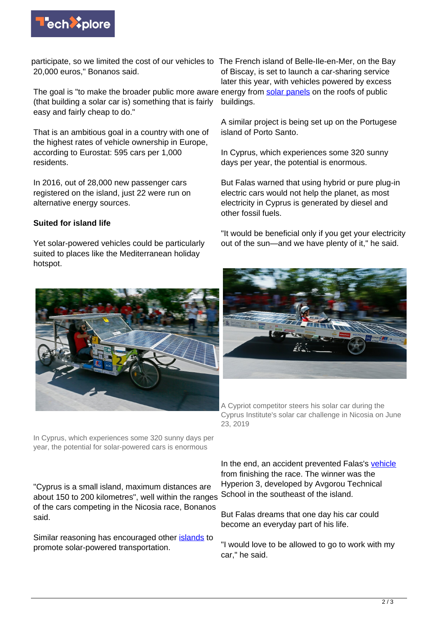

participate, so we limited the cost of our vehicles to The French island of Belle-Ile-en-Mer, on the Bay 20,000 euros," Bonanos said.

The goal is "to make the broader public more aware energy from **solar panels** on the roofs of public (that building a solar car is) something that is fairly easy and fairly cheap to do."

That is an ambitious goal in a country with one of the highest rates of vehicle ownership in Europe, according to Eurostat: 595 cars per 1,000 residents.

In 2016, out of 28,000 new passenger cars registered on the island, just 22 were run on alternative energy sources.

## **Suited for island life**

Yet solar-powered vehicles could be particularly suited to places like the Mediterranean holiday hotspot.

In Cyprus, which experiences some 320 sunny days per year, the potential for solar-powered cars is enormous

"Cyprus is a small island, maximum distances are about 150 to 200 kilometres", well within the ranges of the cars competing in the Nicosia race, Bonanos said.

Similar reasoning has encouraged other **islands** to promote solar-powered transportation.

of Biscay, is set to launch a car-sharing service later this year, with vehicles powered by excess buildings.

A similar project is being set up on the Portugese island of Porto Santo.

In Cyprus, which experiences some 320 sunny days per year, the potential is enormous.

But Falas warned that using hybrid or pure plug-in electric cars would not help the planet, as most electricity in Cyprus is generated by diesel and other fossil fuels.

"It would be beneficial only if you get your electricity out of the sun—and we have plenty of it," he said.



A Cypriot competitor steers his solar car during the Cyprus Institute's solar car challenge in Nicosia on June 23, 2019

In the end, an accident prevented Falas's [vehicle](https://techxplore.com/tags/vehicle/) from finishing the race. The winner was the Hyperion 3, developed by Avgorou Technical School in the southeast of the island.

But Falas dreams that one day his car could become an everyday part of his life.

"I would love to be allowed to go to work with my car," he said.